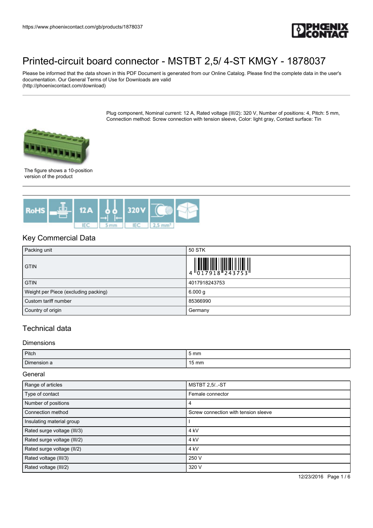

Please be informed that the data shown in this PDF Document is generated from our Online Catalog. Please find the complete data in the user's documentation. Our General Terms of Use for Downloads are valid (http://phoenixcontact.com/download)

> Plug component, Nominal current: 12 A, Rated voltage (III/2): 320 V, Number of positions: 4, Pitch: 5 mm, Connection method: Screw connection with tension sleeve, Color: light gray, Contact surface: Tin



The figure shows a 10-position version of the product



## Key Commercial Data

| Packing unit                         | 50 STK                                                                                                                                                                                                                                                                                                                    |
|--------------------------------------|---------------------------------------------------------------------------------------------------------------------------------------------------------------------------------------------------------------------------------------------------------------------------------------------------------------------------|
| <b>GTIN</b>                          | $\begin{array}{c} 1 & 0 & 0 & 0 \\ 0 & 1 & 7 & 9 & 1 & 8 \\ 0 & 1 & 7 & 9 & 1 & 8 \\ 0 & 0 & 1 & 0 & 1 & 1 \\ 0 & 0 & 0 & 0 & 0 & 0 \\ 0 & 0 & 0 & 0 & 0 & 0 \\ 0 & 0 & 0 & 0 & 0 & 0 \\ 0 & 0 & 0 & 0 & 0 & 0 \\ 0 & 0 & 0 & 0 & 0 & 0 & 0 \\ 0 & 0 & 0 & 0 & 0 & 0 & 0 \\ 0 & 0 & 0 & 0 & 0 & 0 & 0 \\ 0 & 0 & 0 & 0 &$ |
| <b>GTIN</b>                          | 4017918243753                                                                                                                                                                                                                                                                                                             |
| Weight per Piece (excluding packing) | 6.000 g                                                                                                                                                                                                                                                                                                                   |
| Custom tariff number                 | 85366990                                                                                                                                                                                                                                                                                                                  |
| Country of origin                    | Germany                                                                                                                                                                                                                                                                                                                   |

# Technical data

#### Dimensions

| Pitch       | 5 <sub>mm</sub> |
|-------------|-----------------|
| Dimension a | $15 \text{ mm}$ |

General

| Range of articles           | <b>MSTBT 2,5/-ST</b>                 |  |  |
|-----------------------------|--------------------------------------|--|--|
| Type of contact             | Female connector                     |  |  |
| Number of positions         | 4                                    |  |  |
| Connection method           | Screw connection with tension sleeve |  |  |
| Insulating material group   |                                      |  |  |
| Rated surge voltage (III/3) | 4 kV                                 |  |  |
| Rated surge voltage (III/2) | 4 kV                                 |  |  |
| Rated surge voltage (II/2)  | 4 kV                                 |  |  |
| Rated voltage (III/3)       | 250 V                                |  |  |
| Rated voltage (III/2)       | 320 V                                |  |  |

12/23/2016 Page 1 / 6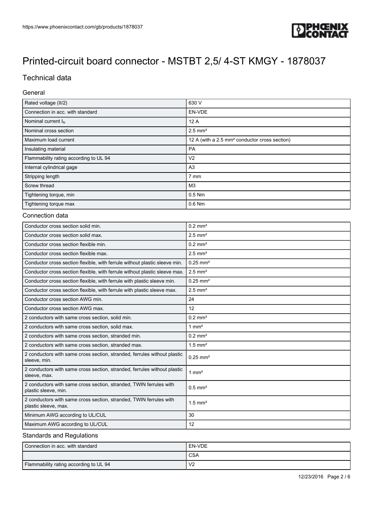

# Technical data

### General

| Rated voltage (II/2)                                                                       | 630 V                                                     |  |
|--------------------------------------------------------------------------------------------|-----------------------------------------------------------|--|
| Connection in acc. with standard                                                           | EN-VDE                                                    |  |
| Nominal current $I_N$                                                                      | 12A                                                       |  |
| Nominal cross section                                                                      | $2.5$ mm <sup>2</sup>                                     |  |
| Maximum load current                                                                       | 12 A (with a 2.5 mm <sup>2</sup> conductor cross section) |  |
| Insulating material                                                                        | PA                                                        |  |
| Flammability rating according to UL 94                                                     | V <sub>2</sub>                                            |  |
| Internal cylindrical gage                                                                  | A <sub>3</sub>                                            |  |
| Stripping length                                                                           | 7 mm                                                      |  |
| Screw thread                                                                               | M <sub>3</sub>                                            |  |
| Tightening torque, min                                                                     | 0.5 Nm                                                    |  |
| Tightening torque max                                                                      | $0.6$ Nm                                                  |  |
| Connection data                                                                            |                                                           |  |
| Conductor cross section solid min.                                                         | $0.2$ mm <sup>2</sup>                                     |  |
| Conductor cross section solid max.                                                         | $2.5$ mm <sup>2</sup>                                     |  |
| Conductor cross section flexible min.                                                      | $0.2$ mm <sup>2</sup>                                     |  |
| Conductor cross section flexible max.                                                      | $2.5$ mm <sup>2</sup>                                     |  |
| Conductor cross section flexible, with ferrule without plastic sleeve min.                 | $0.25$ mm <sup>2</sup>                                    |  |
| Conductor cross section flexible, with ferrule without plastic sleeve max.                 | $2.5$ mm <sup>2</sup>                                     |  |
| Conductor cross section flexible, with ferrule with plastic sleeve min.                    | $0.25$ mm <sup>2</sup>                                    |  |
| Conductor cross section flexible, with ferrule with plastic sleeve max.                    | $2.5$ mm <sup>2</sup>                                     |  |
| Conductor cross section AWG min.                                                           | 24                                                        |  |
| Conductor cross section AWG max.                                                           | 12                                                        |  |
| 2 conductors with same cross section, solid min.                                           | $0.2$ mm <sup>2</sup>                                     |  |
| 2 conductors with same cross section, solid max.                                           | $1 \text{ mm}^2$                                          |  |
| 2 conductors with same cross section, stranded min.                                        | $0.2$ mm <sup>2</sup>                                     |  |
| 2 conductors with same cross section, stranded max.                                        | $1.5$ mm <sup>2</sup>                                     |  |
| 2 conductors with same cross section, stranded, ferrules without plastic<br>sleeve, min.   | $0.25$ mm <sup>2</sup>                                    |  |
| 2 conductors with same cross section, stranded, ferrules without plastic<br>sleeve, max.   | $1 \text{ mm}^2$                                          |  |
| 2 conductors with same cross section, stranded, TWIN ferrules with<br>plastic sleeve, min. | $0.5$ mm <sup>2</sup>                                     |  |
| 2 conductors with same cross section, stranded, TWIN ferrules with<br>plastic sleeve, max. | $1.5$ mm <sup>2</sup>                                     |  |
| Minimum AWG according to UL/CUL                                                            | 30                                                        |  |
| Maximum AWG according to UL/CUL                                                            | 12                                                        |  |

### Standards and Regulations

| l Connection in acc. with standard     | EN-VDE         |
|----------------------------------------|----------------|
|                                        | <b>CSA</b>     |
| Flammability rating according to UL 94 | V <sub>2</sub> |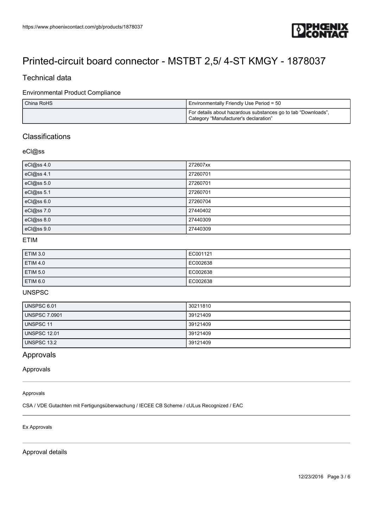

## Technical data

### Environmental Product Compliance

| China RoHS | Environmentally Friendly Use Period = 50                                                                 |
|------------|----------------------------------------------------------------------------------------------------------|
|            | I For details about hazardous substances go to tab "Downloads",<br>Category "Manufacturer's declaration" |

# Classifications

### eCl@ss

| eCl@ss 4.0 | 272607xx |
|------------|----------|
| eCl@ss 4.1 | 27260701 |
| eCl@ss 5.0 | 27260701 |
| eCl@ss 5.1 | 27260701 |
| eCl@ss 6.0 | 27260704 |
| eCl@ss 7.0 | 27440402 |
| eCl@ss 8.0 | 27440309 |
| eCl@ss 9.0 | 27440309 |

#### ETIM

| <b>ETIM 3.0</b> | EC001121 |
|-----------------|----------|
| <b>ETIM 4.0</b> | EC002638 |
| <b>ETIM 5.0</b> | EC002638 |
| <b>ETIM 6.0</b> | EC002638 |

### UNSPSC

| UNSPSC 6.01          | 30211810 |
|----------------------|----------|
| <b>UNSPSC 7.0901</b> | 39121409 |
| UNSPSC 11            | 39121409 |
| <b>UNSPSC 12.01</b>  | 39121409 |
| UNSPSC 13.2          | 39121409 |

## Approvals

Approvals

#### Approvals

CSA / VDE Gutachten mit Fertigungsüberwachung / IECEE CB Scheme / cULus Recognized / EAC

#### Ex Approvals

Approval details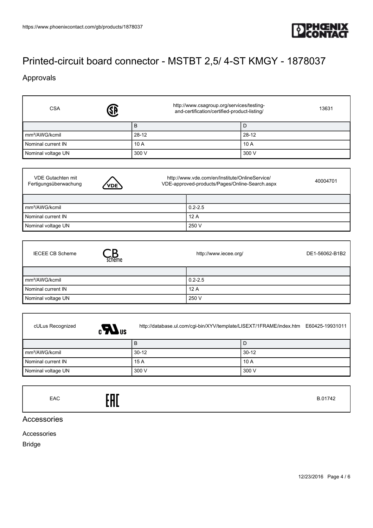

# Approvals

f

| ®<br><b>CSA</b>            | http://www.csagroup.org/services/testing-<br>and-certification/certified-product-listing/ | 13631     |
|----------------------------|-------------------------------------------------------------------------------------------|-----------|
|                            | B                                                                                         | D         |
| mm <sup>2</sup> /AWG/kcmil | $28-12$                                                                                   | $28 - 12$ |
| Nominal current IN         | 10A                                                                                       | 10A       |
| Nominal voltage UN         | 300 V                                                                                     | 300 V     |

| <b>VDE Gutachten mit</b><br>Fertigungsüberwachung | <b>VDE</b> | http://www.vde.com/en/Institute/OnlineService/<br>VDE-approved-products/Pages/Online-Search.aspx |             | 40004701 |
|---------------------------------------------------|------------|--------------------------------------------------------------------------------------------------|-------------|----------|
|                                                   |            |                                                                                                  |             |          |
| mm <sup>2</sup> /AWG/kcmil                        |            |                                                                                                  | $0.2 - 2.5$ |          |
| Nominal current IN                                |            |                                                                                                  | 12A         |          |
| Nominal voltage UN                                |            |                                                                                                  | 250 V       |          |

| <b>IECEE CB Scheme</b><br>scheme | DE1-56062-B1B2<br>http://www.iecee.org/ |  |
|----------------------------------|-----------------------------------------|--|
|                                  |                                         |  |
| mm <sup>2</sup> /AWG/kcmil       | $0.2 - 2.5$                             |  |
| Nominal current IN               | 12A                                     |  |
| Nominal voltage UN               | 250 V                                   |  |

| cULus Recognized<br>$_{c}LL$ <sub>us</sub> |         | http://database.ul.com/cgi-bin/XYV/template/LISEXT/1FRAME/index.htm E60425-19931011 |  |
|--------------------------------------------|---------|-------------------------------------------------------------------------------------|--|
|                                            | В       | ∣D                                                                                  |  |
| mm <sup>2</sup> /AWG/kcmil                 | $30-12$ | $30-12$                                                                             |  |
| Nominal current IN                         | 15A     | 10A                                                                                 |  |
| Nominal voltage UN                         | 300 V   | 300 V                                                                               |  |
|                                            |         |                                                                                     |  |

EAC B.01742

Accessories

Accessories

Bridge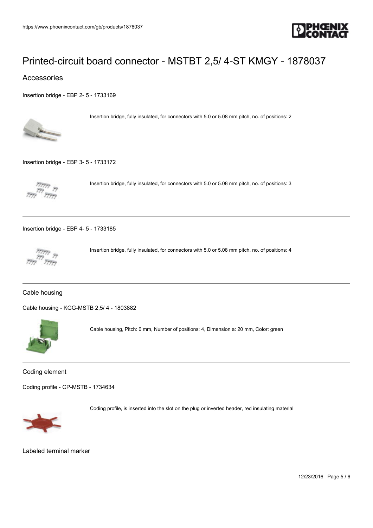

### Accessories

[Insertion bridge - EBP 2- 5 - 1733169](https://www.phoenixcontact.com/gb/products/1733169)



Insertion bridge, fully insulated, for connectors with 5.0 or 5.08 mm pitch, no. of positions: 2

[Insertion bridge - EBP 3- 5 - 1733172](https://www.phoenixcontact.com/gb/products/1733172)



Insertion bridge, fully insulated, for connectors with 5.0 or 5.08 mm pitch, no. of positions: 3

[Insertion bridge - EBP 4- 5 - 1733185](https://www.phoenixcontact.com/gb/products/1733185)



Insertion bridge, fully insulated, for connectors with 5.0 or 5.08 mm pitch, no. of positions: 4

### Cable housing

[Cable housing - KGG-MSTB 2,5/ 4 - 1803882](https://www.phoenixcontact.com/gb/products/1803882)



Cable housing, Pitch: 0 mm, Number of positions: 4, Dimension a: 20 mm, Color: green

Coding element

[Coding profile - CP-MSTB - 1734634](https://www.phoenixcontact.com/gb/products/1734634)



Coding profile, is inserted into the slot on the plug or inverted header, red insulating material

Labeled terminal marker

12/23/2016 Page 5 / 6